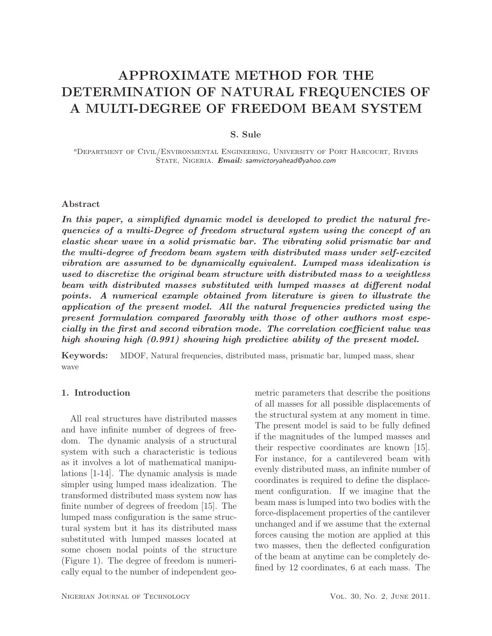# APPROXIMATE METHOD FOR THE DETERMINATION OF NATURAL FREQUENCIES OF A MULTI-DEGREE OF FREEDOM BEAM SYSTEM

# S. Sule

<sup>a</sup>Department of Civil/Environmental Engineering, University of Port Harcourt, Rivers STATE, NIGERIA. *Email: samvictoryahead@yahoo.com* 

#### Abstract

*In this paper, a simplified dynamic model is developed to predict the natural frequencies of a multi-Degree of freedom structural system using the concept of an elastic shear wave in a solid prismatic bar. The vibrating solid prismatic bar and the multi-degree of freedom beam system with distributed mass under self-excited vibration are assumed to be dynamically equivalent. Lumped mass idealization is used to discretize the original beam structure with distributed mass to a weightless beam with distributed masses substituted with lumped masses at different nodal points. A numerical example obtained from literature is given to illustrate the application of the present model. All the natural frequencies predicted using the present formulation compared favorably with those of other authors most especially in the first and second vibration mode. The correlation coefficient value was high showing high (0.991) showing high predictive ability of the present model.*

Keywords: MDOF, Natural frequencies, distributed mass, prismatic bar, lumped mass, shear wave

# 1. Introduction

All real structures have distributed masses and have infinite number of degrees of freedom. The dynamic analysis of a structural system with such a characteristic is tedious as it involves a lot of mathematical manipulations [1-14]. The dynamic analysis is made simpler using lumped mass idealization. The transformed distributed mass system now has finite number of degrees of freedom [15]. The lumped mass configuration is the same structural system but it has its distributed mass substituted with lumped masses located at some chosen nodal points of the structure (Figure 1). The degree of freedom is numerically equal to the number of independent geo-

metric parameters that describe the positions of all masses for all possible displacements of the structural system at any moment in time. The present model is said to be fully defined if the magnitudes of the lumped masses and their respective coordinates are known [15]. For instance, for a cantilevered beam with evenly distributed mass, an infinite number of coordinates is required to define the displacement configuration. If we imagine that the beam mass is lumped into two bodies with the force-displacement properties of the cantilever unchanged and if we assume that the external forces causing the motion are applied at this two masses, then the deflected configuration of the beam at anytime can be completely defined by 12 coordinates, 6 at each mass. The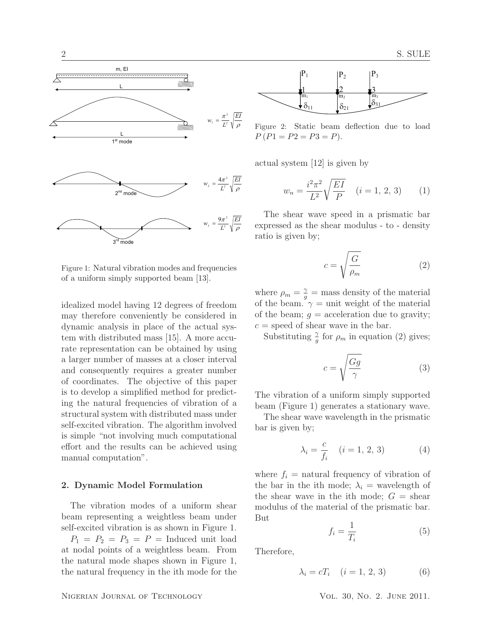

Figure 1: Natural vibration modes and frequencies of a uniform simply supported beam [13].

idealized model having 12 degrees of freedom may therefore conveniently be considered in dynamic analysis in place of the actual system with distributed mass [15]. A more accurate representation can be obtained by using a larger number of masses at a closer interval and consequently requires a greater number of coordinates. The objective of this paper is to develop a simplified method for predicting the natural frequencies of vibration of a structural system with distributed mass under self-excited vibration. The algorithm involved is simple "not involving much computational effort and the results can be achieved using manual computation".

#### 2. Dynamic Model Formulation

The vibration modes of a uniform shear beam representing a weightless beam under self-excited vibration is as shown in Figure 1.

 $P_1 = P_2 = P_3 = P$  = Induced unit load at nodal points of a weightless beam. From the natural mode shapes shown in Figure 1, the natural frequency in the ith mode for the



Figure 2: Static beam deflection due to load  $P (P1 = P2 = P3 = P).$ 

actual system [12] is given by

$$
w_n = \frac{i^2 \pi^2}{L^2} \sqrt{\frac{EI}{P}} \quad (i = 1, 2, 3) \tag{1}
$$

The shear wave speed in a prismatic bar expressed as the shear modulus - to - density ratio is given by;

$$
c = \sqrt{\frac{G}{\rho_m}}\tag{2}
$$

where  $\rho_m = \frac{\gamma}{g} = \text{mass density of the material}$ of the beam.  $\gamma = \text{unit weight of the material}$ of the beam;  $g =$  acceleration due to gravity;  $c =$  speed of shear wave in the bar.

Substituting  $\frac{\gamma}{g}$  for  $\rho_m$  in equation (2) gives;

$$
c = \sqrt{\frac{Gg}{\gamma}}\tag{3}
$$

The vibration of a uniform simply supported beam (Figure 1) generates a stationary wave.

The shear wave wavelength in the prismatic bar is given by;

$$
\lambda_i = \frac{c}{f_i} \quad (i = 1, 2, 3) \tag{4}
$$

where  $f_i$  = natural frequency of vibration of the bar in the ith mode;  $\lambda_i$  = wavelength of the shear wave in the ith mode;  $G =$  shear modulus of the material of the prismatic bar. But

$$
f_i = \frac{1}{T_i} \tag{5}
$$

Therefore,

$$
\lambda_i = cT_i \quad (i = 1, 2, 3) \tag{6}
$$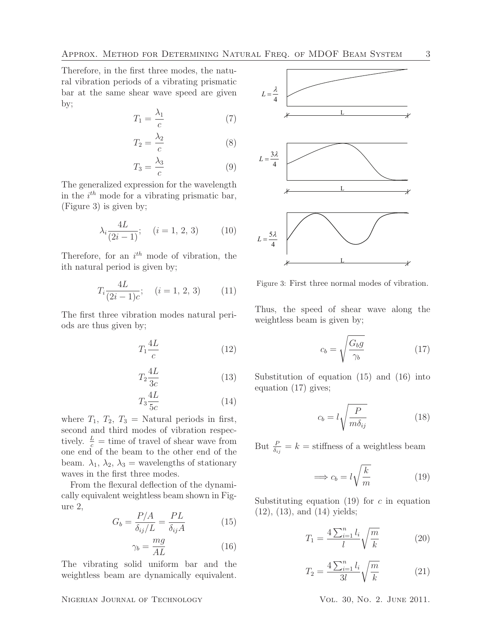Therefore, in the first three modes, the natural vibration periods of a vibrating prismatic bar at the same shear wave speed are given by;

$$
T_1 = \frac{\lambda_1}{c} \tag{7}
$$

$$
T_2 = \frac{\lambda_2}{c} \tag{8}
$$

$$
T_3 = \frac{\lambda_3}{c} \tag{9}
$$

The generalized expression for the wavelength in the  $i^{th}$  mode for a vibrating prismatic bar, (Figure 3) is given by;

$$
\lambda_i \frac{4L}{(2i-1)}; \quad (i = 1, 2, 3)
$$
 (10)

Therefore, for an  $i^{th}$  mode of vibration, the ith natural period is given by;

$$
T_i \frac{4L}{(2i-1)c}; \quad (i = 1, 2, 3)
$$
 (11)

The first three vibration modes natural periods are thus given by;

$$
T_1 \frac{4L}{c} \tag{12}
$$

$$
T_2 \frac{4L}{3c} \tag{13}
$$

$$
T_3 \frac{4L}{5c} \tag{14}
$$

where  $T_1$ ,  $T_2$ ,  $T_3$  = Natural periods in first, second and third modes of vibration respectively.  $\frac{L}{c}$  = time of travel of shear wave from one end of the beam to the other end of the beam.  $\lambda_1$ ,  $\lambda_2$ ,  $\lambda_3$  = wavelengths of stationary waves in the first three modes.

From the flexural deflection of the dynamically equivalent weightless beam shown in Figure 2,

$$
G_b = \frac{P/A}{\delta_{ij}/L} = \frac{PL}{\delta_{ij}A}
$$
 (15)

$$
\gamma_b = \frac{mg}{AL} \tag{16}
$$

The vibrating solid uniform bar and the weightless beam are dynamically equivalent.

### NIGERIAN JOURNAL OF TECHNOLOGY VOL. 30, NO. 2. JUNE 2011.



Figure 3: First three normal modes of vibration.

Thus, the speed of shear wave along the weightless beam is given by;

$$
c_b = \sqrt{\frac{G_b g}{\gamma_b}}\tag{17}
$$

Substitution of equation (15) and (16) into equation (17) gives;

$$
c_b = l \sqrt{\frac{P}{m \delta_{ij}}} \tag{18}
$$

But  $\frac{P}{\delta_{ij}} = k =$  stiffness of a weightless beam

$$
\implies c_b = l \sqrt{\frac{k}{m}} \tag{19}
$$

Substituting equation (19) for  $c$  in equation (12), (13), and (14) yields;

$$
T_1 = \frac{4\sum_{i=1}^n l_i}{l} \sqrt{\frac{m}{k}}\tag{20}
$$

$$
T_2 = \frac{4\sum_{i=1}^n l_i}{3l} \sqrt{\frac{m}{k}}\tag{21}
$$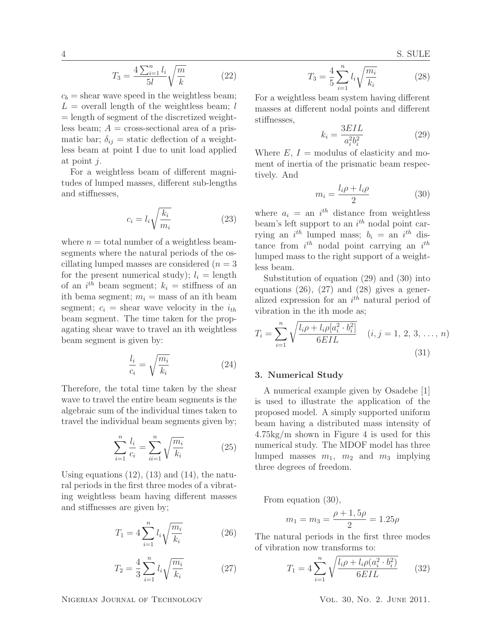$$
T_3 = \frac{4\sum_{i=1}^n l_i}{5l} \sqrt{\frac{m}{k}}\tag{22}
$$

 $c_b$  = shear wave speed in the weightless beam;  $L =$  overall length of the weightless beam; l = length of segment of the discretized weightless beam;  $A = \text{cross-sectional area of a pris$ matic bar;  $\delta_{ij}$  = static deflection of a weightless beam at point I due to unit load applied at point j.

For a weightless beam of different magnitudes of lumped masses, different sub-lengths and stiffnesses,

$$
c_i = l_i \sqrt{\frac{k_i}{m_i}}\tag{23}
$$

where  $n =$  total number of a weightless beamsegments where the natural periods of the oscillating lumped masses are considered  $(n = 3)$ for the present numerical study);  $l_i = \text{length}$ of an  $i^{th}$  beam segment;  $k_i =$  stiffness of an ith bema segment;  $m_i = \text{mass of an ith beam}$ segment;  $c_i$  = shear wave velocity in the  $i_{th}$ beam segment. The time taken for the propagating shear wave to travel an ith weightless beam segment is given by:

$$
\frac{l_i}{c_i} = \sqrt{\frac{m_i}{k_i}}\tag{24}
$$

Therefore, the total time taken by the shear wave to travel the entire beam segments is the algebraic sum of the individual times taken to travel the individual beam segments given by;

$$
\sum_{i=1}^{n} \frac{l_i}{c_i} = \sum_{ii=1}^{n} \sqrt{\frac{m_i}{k_i}}
$$
 (25)

Using equations  $(12)$ ,  $(13)$  and  $(14)$ , the natural periods in the first three modes of a vibrating weightless beam having different masses and stiffnesses are given by;

$$
T_1 = 4 \sum_{i=1}^{n} l_i \sqrt{\frac{m_i}{k_i}} \tag{26}
$$

$$
T_2 = \frac{4}{3} \sum_{i=1}^{n} l_i \sqrt{\frac{m_i}{k_i}}
$$
 (27)

$$
T_3 = \frac{4}{5} \sum_{i=1}^{n} l_i \sqrt{\frac{m_i}{k_i}}
$$
 (28)

For a weightless beam system having different masses at different nodal points and different stiffnesses,

$$
k_i = \frac{3EIL}{a_i^2 b_i^2} \tag{29}
$$

Where  $E, I =$  modulus of elasticity and moment of inertia of the prismatic beam respectively. And

$$
m_i = \frac{l_i \rho + l_i \rho}{2} \tag{30}
$$

where  $a_i =$  an  $i^{th}$  distance from weightless beam's left support to an  $i^{th}$  nodal point carrying an  $i^{th}$  lumped mass;  $b_i =$  an  $i^{th}$  distance from  $i^{th}$  nodal point carrying an  $i^{th}$ lumped mass to the right support of a weightless beam.

Substitution of equation (29) and (30) into equations  $(26)$ ,  $(27)$  and  $(28)$  gives a generalized expression for an  $i<sup>th</sup>$  natural period of vibration in the ith mode as;

$$
T_i = \sum_{i=1}^n \sqrt{\frac{l_i \rho + l_i \rho [a_i^2 \cdot b_i^2]}{6EIL}} \quad (i, j = 1, 2, 3, \dots, n)
$$
\n(31)

# 3. Numerical Study

A numerical example given by Osadebe [1] is used to illustrate the application of the proposed model. A simply supported uniform beam having a distributed mass intensity of 4.75kg/m shown in Figure 4 is used for this numerical study. The MDOF model has three lumped masses  $m_1$ ,  $m_2$  and  $m_3$  implying three degrees of freedom.

From equation (30),

$$
m_1 = m_3 = \frac{\rho + 1, 5\rho}{2} = 1.25\rho
$$

The natural periods in the first three modes of vibration now transforms to:

$$
T_1 = 4 \sum_{i=1}^{n} \sqrt{\frac{l_i \rho + l_i \rho (a_i^2 \cdot b_i^2)}{6EIL}} \qquad (32)
$$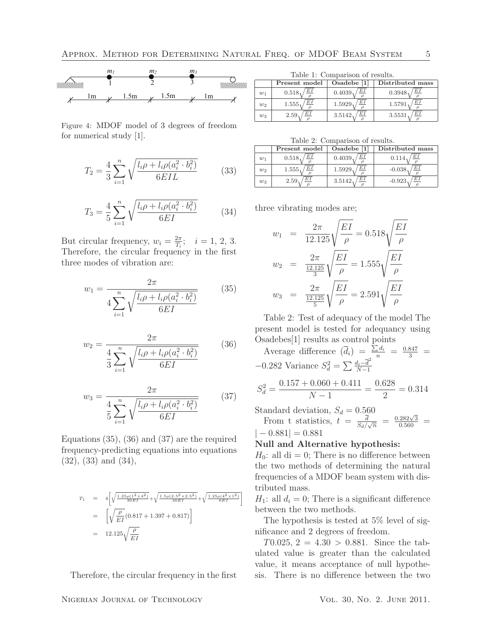

Figure 4: MDOF model of 3 degrees of freedom for numerical study [1].

$$
T_2 = \frac{4}{3} \sum_{i=1}^{n} \sqrt{\frac{l_i \rho + l_i \rho (a_i^2 \cdot b_i^2)}{6EIL}}
$$
 (33)

$$
T_3 = \frac{4}{5} \sum_{i=1}^{n} \sqrt{\frac{l_i \rho + l_i \rho (a_i^2 \cdot b_i^2)}{6EI}} \tag{34}
$$

But circular frequency,  $w_i = \frac{2\pi}{T_i}$  $\frac{2\pi}{T_i}; \quad i = 1, 2, 3.$ Therefore, the circular frequency in the first three modes of vibration are:

$$
w_1 = \frac{2\pi}{4\sum_{i=1}^n \sqrt{\frac{l_i \rho + l_i \rho (a_i^2 \cdot b_i^2)}{6EI}}} \tag{35}
$$

$$
w_2 = \frac{2\pi}{\frac{4}{3} \sum_{i=1}^n \sqrt{\frac{l_i \rho + l_i \rho (a_i^2 \cdot b_i^2)}{6EI}}} \tag{36}
$$

$$
w_3 = \frac{2\pi}{\frac{4}{5} \sum_{i=1}^n \sqrt{\frac{l_i \rho + l_i \rho (a_i^2 \cdot b_i^2)}{6EI}}} \tag{37}
$$

Equations (35), (36) and (37) are the required frequency-predicting equations into equations (32), (33) and (34),

$$
T_1 = 4\left[\sqrt{\frac{1.25\rho(1^2 \times 4^2)}{30EI}} + \sqrt{\frac{1.5\rho(2.5^2 \times 2.5^2)}{30EI}} + \sqrt{\frac{1.25\rho(4^2 \times 1^2)}{6EI}}\right]
$$
  
=  $\left[\sqrt{\frac{\rho}{EI}}(0.817 + 1.397 + 0.817)\right]$   
=  $12.125\sqrt{\frac{\rho}{EI}}$ 

Therefore, the circular frequency in the first

NIGERIAN JOURNAL OF TECHNOLOGY VOL. 30, NO. 2. JUNE 2011.

Table 1: Comparison of results.

|       | Present model | Osadebe [1]         | Distributed mass |
|-------|---------------|---------------------|------------------|
| $w_1$ | E1            | $E$ <sub>I</sub>    | EI               |
|       | 0.518         | 0.4039 <sub>1</sub> | $0.3948_1$       |
| $w_2$ | E1            | EI                  | EI               |
|       | $1.555_1$     | 1.5929              | 1.5791           |
| $w_3$ | EΙ            | E1                  | EΙ               |
|       | 2.59          | 3.5142              | 3.5531           |

|  | Table 2: Comparison of results. |  |
|--|---------------------------------|--|
|--|---------------------------------|--|

|       | Present model | Osadebe [1]           | Distributed mass |  |  |  |
|-------|---------------|-----------------------|------------------|--|--|--|
| $w_1$ | E1<br>0.518   | $_{EI}$<br>$0.4039_1$ | EI<br>0.114      |  |  |  |
| $w_2$ | ΕI<br>1.555   | EI<br>1.5929          | EΙ<br>$-0.038$   |  |  |  |
| $w_3$ | 2.59          | EΙ<br>3.5142          | EΙ<br>$-0.923$   |  |  |  |

three vibrating modes are;

$$
w_1 = \frac{2\pi}{12.125} \sqrt{\frac{EI}{\rho}} = 0.518 \sqrt{\frac{EI}{\rho}}
$$
  
\n
$$
w_2 = \frac{2\pi}{\frac{12.125}{3}} \sqrt{\frac{EI}{\rho}} = 1.555 \sqrt{\frac{EI}{\rho}}
$$
  
\n
$$
w_3 = \frac{2\pi}{\frac{12.125}{5}} \sqrt{\frac{EI}{\rho}} = 2.591 \sqrt{\frac{EI}{\rho}}
$$

Table 2: Test of adequacy of the model The present model is tested for adequancy using Osadebes[1] results as control points

Average difference  $(\bar{d}_i) = \frac{\sum d_i}{n} = \frac{0.847}{3} =$ −0.282 Variance  $S_d^2 = \sum_{N=1}^{\infty} \frac{d_i - \overline{d}^2}{N-1}$  $N-1$  $S_d^2 = \frac{0.157 + 0.060 + 0.411}{N - 1}$  $\frac{0.060 + 0.411}{N - 1} = \frac{0.628}{2}$  $\frac{328}{2} = 0.314$ 

Standard deviation, 
$$
S_d = 0.560
$$
  
From t statistics,  $t = \frac{\overline{d}}{S_d/\sqrt{n}} = \frac{0.282\sqrt{3}}{0.560} =$   
 $|-0.881| = 0.881$ 

### Null and Alternative hypothesis:

 $H_0$ : all di = 0; There is no difference between the two methods of determining the natural frequencies of a MDOF beam system with distributed mass.

 $H_1$ : all  $d_i = 0$ ; There is a significant difference between the two methods.

The hypothesis is tested at 5% level of significance and 2 degrees of freedom.

 $T0.025, 2 = 4.30 > 0.881$ . Since the tabulated value is greater than the calculated value, it means acceptance of null hypothesis. There is no difference between the two